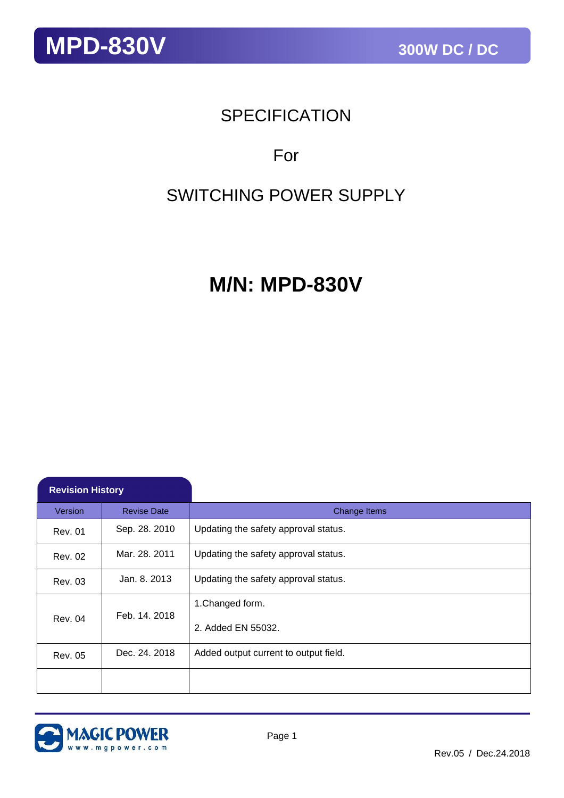## **SPECIFICATION**

## For

## SWITCHING POWER SUPPLY

## **M/N: MPD-830V**

| <b>Revision History</b>         |                    |                                       |
|---------------------------------|--------------------|---------------------------------------|
| Version                         | <b>Revise Date</b> | Change Items                          |
| Rev. 01                         | Sep. 28. 2010      | Updating the safety approval status.  |
| <b>Rev. 02</b>                  | Mar. 28, 2011      | Updating the safety approval status.  |
| Rev. 03                         | Jan. 8. 2013       | Updating the safety approval status.  |
|                                 | 1. Changed form.   |                                       |
| Feb. 14, 2018<br><b>Rev. 04</b> |                    | 2. Added EN 55032.                    |
| Rev. 05                         | Dec. 24, 2018      | Added output current to output field. |
|                                 |                    |                                       |

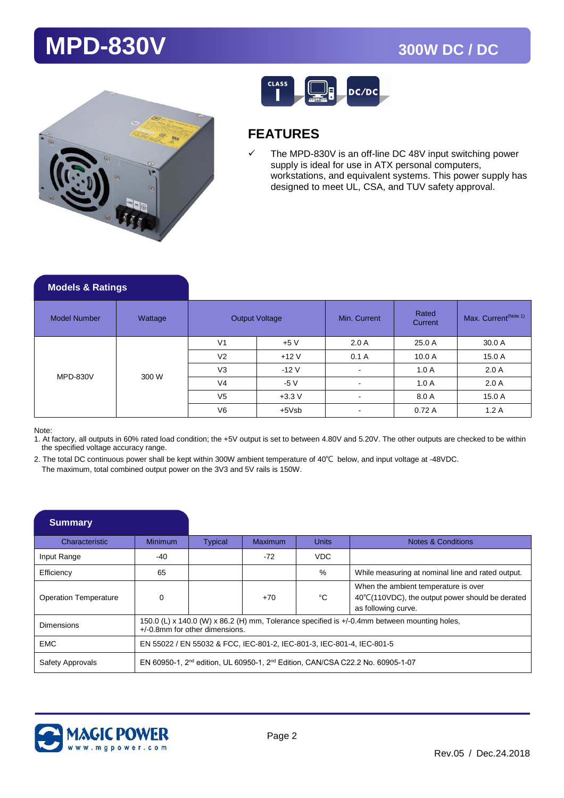



## **FEATURES**

 $\checkmark$  The MPD-830V is an off-line DC 48V input switching power supply is ideal for use in ATX personal computers, workstations, and equivalent systems. This power supply has designed to meet UL, CSA, and TUV safety approval.

| <b>Models &amp; Ratings</b> |         |                |                       |                          |                  |                                  |
|-----------------------------|---------|----------------|-----------------------|--------------------------|------------------|----------------------------------|
| <b>Model Number</b>         | Wattage |                | <b>Output Voltage</b> | Min. Current             | Rated<br>Current | Max. Current <sup>(Note 1)</sup> |
| <b>MPD-830V</b>             | 300 W   | V <sub>1</sub> | $+5V$                 | 2.0A                     | 25.0 A           | 30.0 A                           |
|                             |         | V <sub>2</sub> | $+12V$                | 0.1A                     | 10.0 A           | 15.0 A                           |
|                             |         | V <sub>3</sub> | $-12V$                | $\overline{\phantom{a}}$ | 1.0A             | 2.0A                             |
|                             |         | V <sub>4</sub> | $-5V$                 |                          | 1.0A             | 2.0A                             |
|                             |         | V <sub>5</sub> | $+3.3V$               | $\overline{\phantom{a}}$ | 8.0 A            | 15.0 A                           |
|                             |         | V <sub>6</sub> | $+5Vsb$               | $\overline{\phantom{a}}$ | 0.72A            | 1.2A                             |

Note:

1. At factory, all outputs in 60% rated load condition; the +5V output is set to between 4.80V and 5.20V. The other outputs are checked to be within the specified voltage accuracy range.

2. The total DC continuous power shall be kept within 300W ambient temperature of 40℃ below, and input voltage at -48VDC. The maximum, total combined output power on the 3V3 and 5V rails is 150W.

| <b>Summary</b>               |                                                                                                                                   |                |         |              |                                                                                                                 |
|------------------------------|-----------------------------------------------------------------------------------------------------------------------------------|----------------|---------|--------------|-----------------------------------------------------------------------------------------------------------------|
| Characteristic               | Minimum                                                                                                                           | <b>Typical</b> | Maximum | <b>Units</b> | <b>Notes &amp; Conditions</b>                                                                                   |
| Input Range                  | -40                                                                                                                               |                | $-72$   | VDC          |                                                                                                                 |
| Efficiency                   | 65                                                                                                                                |                |         | $\%$         | While measuring at nominal line and rated output.                                                               |
| <b>Operation Temperature</b> | $\Omega$                                                                                                                          |                | $+70$   | °C           | When the ambient temperature is over<br>40°C(110VDC), the output power should be derated<br>as following curve. |
| Dimensions                   | 150.0 (L) x 140.0 (W) x 86.2 (H) mm, Tolerance specified is +/-0.4mm between mounting holes,<br>$+/-0.8$ mm for other dimensions. |                |         |              |                                                                                                                 |
| <b>EMC</b>                   | EN 55022 / EN 55032 & FCC, IEC-801-2, IEC-801-3, IEC-801-4, IEC-801-5                                                             |                |         |              |                                                                                                                 |
| Safety Approvals             | EN 60950-1, $2^{nd}$ edition, UL 60950-1, $2^{nd}$ Edition, CAN/CSA C22.2 No. 60905-1-07                                          |                |         |              |                                                                                                                 |

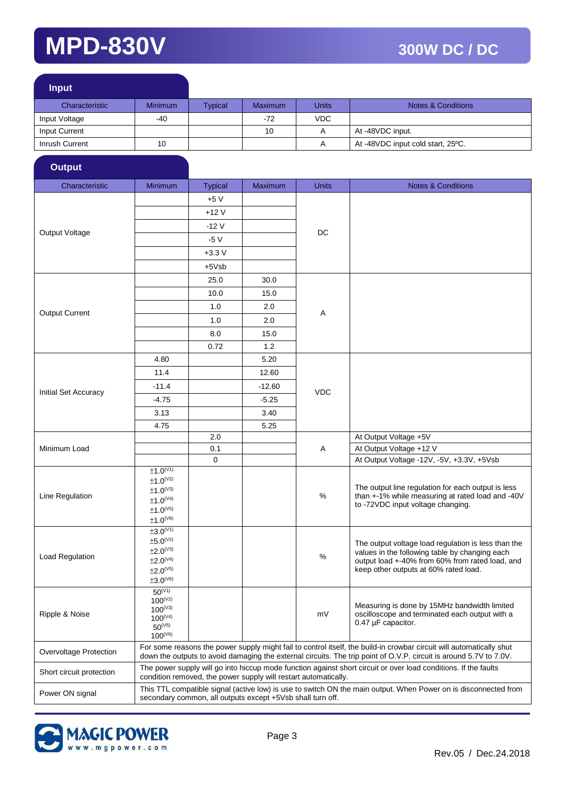ł

| <b>Input</b>   |                |                |                |       |                                   |
|----------------|----------------|----------------|----------------|-------|-----------------------------------|
| Characteristic | <b>Minimum</b> | <b>Typical</b> | <b>Maximum</b> | Units | <b>Notes &amp; Conditions</b>     |
| Input Voltage  | -40            |                | $-72$          | VDC.  |                                   |
| Input Current  |                |                | 10             | A     | At -48VDC input.                  |
| Inrush Current | 10             |                |                | A     | At -48VDC input cold start, 25°C. |

| <b>Output</b>            |                                                                                                                                                                                                                                            |                |                |              |                                                                                                                                                                                                   |  |
|--------------------------|--------------------------------------------------------------------------------------------------------------------------------------------------------------------------------------------------------------------------------------------|----------------|----------------|--------------|---------------------------------------------------------------------------------------------------------------------------------------------------------------------------------------------------|--|
| Characteristic           | Minimum                                                                                                                                                                                                                                    | <b>Typical</b> | <b>Maximum</b> | <b>Units</b> | <b>Notes &amp; Conditions</b>                                                                                                                                                                     |  |
|                          |                                                                                                                                                                                                                                            | +5 V           |                |              |                                                                                                                                                                                                   |  |
|                          |                                                                                                                                                                                                                                            | $+12V$         |                |              |                                                                                                                                                                                                   |  |
|                          |                                                                                                                                                                                                                                            | $-12V$         |                |              |                                                                                                                                                                                                   |  |
| Output Voltage           |                                                                                                                                                                                                                                            | $-5V$          |                | DC           |                                                                                                                                                                                                   |  |
|                          |                                                                                                                                                                                                                                            | $+3.3V$        |                |              |                                                                                                                                                                                                   |  |
|                          |                                                                                                                                                                                                                                            | +5Vsb          |                |              |                                                                                                                                                                                                   |  |
|                          |                                                                                                                                                                                                                                            | 25.0           | 30.0           |              |                                                                                                                                                                                                   |  |
|                          |                                                                                                                                                                                                                                            | 10.0           | 15.0           |              |                                                                                                                                                                                                   |  |
|                          |                                                                                                                                                                                                                                            | 1.0            | 2.0            |              |                                                                                                                                                                                                   |  |
| <b>Output Current</b>    |                                                                                                                                                                                                                                            | 1.0            | 2.0            | Α            |                                                                                                                                                                                                   |  |
|                          |                                                                                                                                                                                                                                            | 8.0            | 15.0           |              |                                                                                                                                                                                                   |  |
|                          |                                                                                                                                                                                                                                            | 0.72           | 1.2            |              |                                                                                                                                                                                                   |  |
|                          | 4.80                                                                                                                                                                                                                                       |                | 5.20           |              |                                                                                                                                                                                                   |  |
|                          | 11.4                                                                                                                                                                                                                                       |                | 12.60          |              |                                                                                                                                                                                                   |  |
|                          | $-11.4$                                                                                                                                                                                                                                    |                | $-12.60$       |              |                                                                                                                                                                                                   |  |
| Initial Set Accuracy     | $-4.75$                                                                                                                                                                                                                                    |                | $-5.25$        | <b>VDC</b>   |                                                                                                                                                                                                   |  |
|                          | 3.13                                                                                                                                                                                                                                       |                | 3.40           |              |                                                                                                                                                                                                   |  |
|                          | 4.75                                                                                                                                                                                                                                       |                | 5.25           |              |                                                                                                                                                                                                   |  |
|                          |                                                                                                                                                                                                                                            | $2.0\,$        |                | Α            | At Output Voltage +5V                                                                                                                                                                             |  |
| Minimum Load             |                                                                                                                                                                                                                                            | 0.1            |                |              | At Output Voltage +12 V                                                                                                                                                                           |  |
|                          |                                                                                                                                                                                                                                            | $\mathbf 0$    |                |              | At Output Voltage -12V, -5V, +3.3V, +5Vsb                                                                                                                                                         |  |
| Line Regulation          | ±1.0 <sup>(V1)</sup><br>$±1.0^{(V2)}$<br>$±1.0^{(V3)}$<br>$\pm 1.0^\mathrm{(V4)}$<br>$±1.0^{(V5)}$                                                                                                                                         |                |                | %            | The output line regulation for each output is less<br>than +-1% while measuring at rated load and -40V<br>to -72VDC input voltage changing.                                                       |  |
|                          | $±1.0^{(V6)}$                                                                                                                                                                                                                              |                |                |              |                                                                                                                                                                                                   |  |
| <b>Load Regulation</b>   | ±3.0 <sup>(V1)</sup><br>$±5.0^{(V2)}$<br>±2.0 <sup>(V3)</sup><br>$±2.0^{(V4)}$<br>$±2.0^{(V5)}$<br>$±3.0^{(V6)}$                                                                                                                           |                |                | %            | The output voltage load regulation is less than the<br>values in the following table by changing each<br>output load +-40% from 60% from rated load, and<br>keep other outputs at 60% rated load. |  |
| Ripple & Noise           | $50^{(V1)}$<br>$100^{(V2)}$<br>$100^{(V3)}$<br>$100^{(V4)}$<br>$50^{(V5)}$<br>$100^{(V6)}$                                                                                                                                                 |                |                | mV           | Measuring is done by 15MHz bandwidth limited<br>oscilloscope and terminated each output with a<br>0.47 µF capacitor.                                                                              |  |
| Overvoltage Protection   | For some reasons the power supply might fail to control itself, the build-in crowbar circuit will automatically shut<br>down the outputs to avoid damaging the external circuits. The trip point of O.V.P. circuit is around 5.7V to 7.0V. |                |                |              |                                                                                                                                                                                                   |  |
| Short circuit protection | The power supply will go into hiccup mode function against short circuit or over load conditions. If the faults<br>condition removed, the power supply will restart automatically.                                                         |                |                |              |                                                                                                                                                                                                   |  |
| Power ON signal          | This TTL compatible signal (active low) is use to switch ON the main output. When Power on is disconnected from<br>secondary common, all outputs except +5Vsb shall turn off.                                                              |                |                |              |                                                                                                                                                                                                   |  |

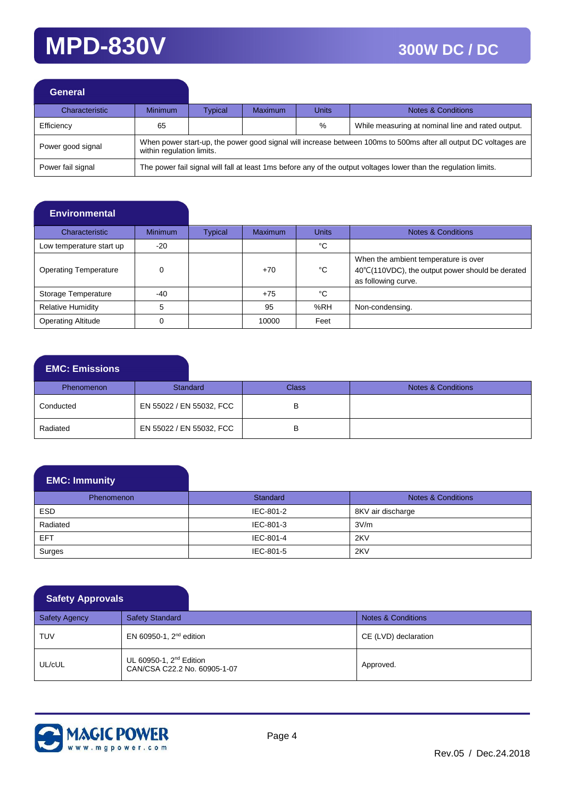| <b>General</b>    |                                                                                                                                               |         |         |       |                                                   |  |
|-------------------|-----------------------------------------------------------------------------------------------------------------------------------------------|---------|---------|-------|---------------------------------------------------|--|
| Characteristic    | <b>Minimum</b>                                                                                                                                | Typical | Maximum | Units | <b>Notes &amp; Conditions</b>                     |  |
| Efficiency        | 65                                                                                                                                            |         |         | $\%$  | While measuring at nominal line and rated output. |  |
| Power good signal | When power start-up, the power good signal will increase between 100ms to 500ms after all output DC voltages are<br>within regulation limits. |         |         |       |                                                   |  |
| Power fail signal | The power fail signal will fall at least 1ms before any of the output voltages lower than the regulation limits.                              |         |         |       |                                                   |  |

### **Environmental**

| Characteristic               | <b>Minimum</b> | Typical | <b>Maximum</b> | <b>Units</b> | <b>Notes &amp; Conditions</b>                                                                                   |
|------------------------------|----------------|---------|----------------|--------------|-----------------------------------------------------------------------------------------------------------------|
| Low temperature start up     | $-20$          |         |                | °C           |                                                                                                                 |
| <b>Operating Temperature</b> | $\Omega$       |         | $+70$          | °C           | When the ambient temperature is over<br>40°C(110VDC), the output power should be derated<br>as following curve. |
| Storage Temperature          | $-40$          |         | $+75$          | °C           |                                                                                                                 |
| <b>Relative Humidity</b>     |                |         | 95             | %RH          | Non-condensing.                                                                                                 |
| <b>Operating Altitude</b>    | 0              |         | 10000          | Feet         |                                                                                                                 |

### **EMC: Emissions**

| <b>Phenomenon</b> | Standard                 | Class | Notes & Conditions |
|-------------------|--------------------------|-------|--------------------|
| Conducted         | EN 55022 / EN 55032, FCC |       |                    |
| Radiated          | EN 55022 / EN 55032, FCC |       |                    |

## **EMC: Immunity**

| Phenomenon | Standard  | Notes & Conditions |
|------------|-----------|--------------------|
| <b>ESD</b> | IEC-801-2 | 8KV air discharge  |
| Radiated   | IEC-801-3 | 3V/m               |
| <b>EFT</b> | IEC-801-4 | 2KV                |
| Surges     | IEC-801-5 | 2KV                |

### **Safety Approvals**

| <b>Safety Agency</b> | <b>Safety Standard</b>                                              | Notes & Conditions   |
|----------------------|---------------------------------------------------------------------|----------------------|
| <b>TUV</b>           | EN 60950-1, $2nd$ edition                                           | CE (LVD) declaration |
| UL/cUL               | UL 60950-1, 2 <sup>nd</sup> Edition<br>CAN/CSA C22.2 No. 60905-1-07 | Approved.            |